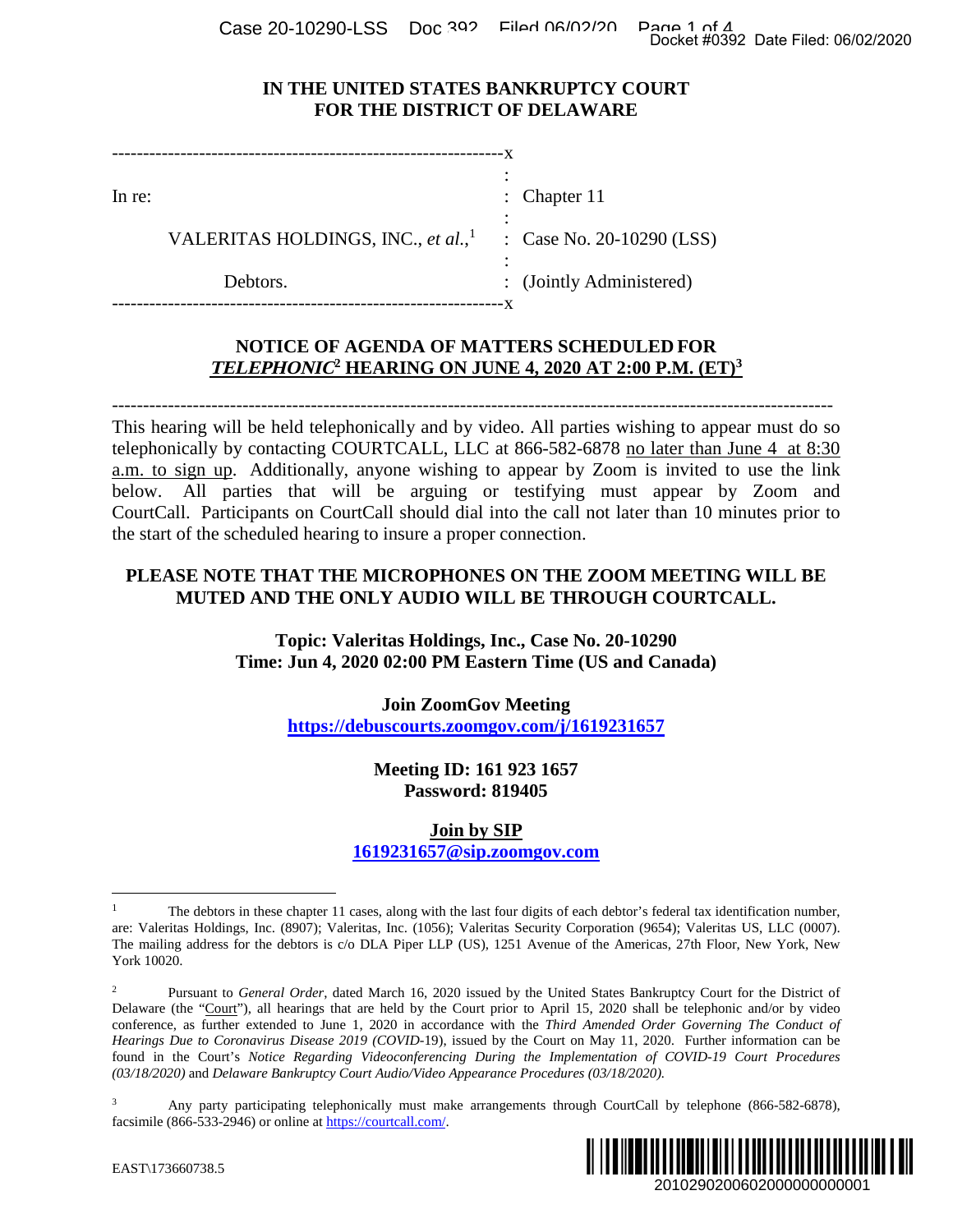Case 20-10290-LSS Doc 392 Filed 06/02/20 Page 1 of 4<br>Docket #0392 Date Filed: 06/02/2020

: Chapter 11

### **IN THE UNITED STATES BANKRUPTCY COURT FOR THE DISTRICT OF DELAWARE**

:

:

x

--------------------------------------------------------------- x :

In re:

VALERITAS HOLDINGS, INC., *et al.*, 1 : Case No. 20-10290 (LSS)

Debtors. ---------------------------------------------------------------

: (Jointly Administered)

# **NOTICE OF AGENDA OF MATTERS SCHEDULED FOR TELEPHONIC2 HEARING ON JUNE 4, 2020 AT 2:00 P.M. (ET)<sup>3</sup>**

-------------------------------------------------------------------------------------------------------------------- This hearing will be held telephonically and by video. All parties wishing to appear must do so telephonically by contacting COURTCALL, LLC at 866-582-6878 no later than June 4 at 8:30 a.m. to sign up. Additionally, anyone wishing to appear by Zoom is invited to use the link below. All parties that will be arguing or testifying must appear by Zoom and CourtCall. Participants on CourtCall should dial into the call not later than 10 minutes prior to the start of the scheduled hearing to insure a proper connection. Docket #0392 Date Filed: 06/02/2020<br>
URT<br>
2010 (LSS)<br>
tered)<br> **ED FOR**<br> **ED FOR**<br> **ED FOR**<br> **ED FOR**<br> **ED FOR**<br> **ED FOR**<br> **ED FOR**<br> **ED FOR**<br> **ED FOR**<br> **ED FOR**<br> **ED FOR**<br> **ED FOR**<br> **ED FOR**<br> **ED FORP**<br> **ED FORPED FORMATI** 

## **PLEASE NOTE THAT THE MICROPHONES ON THE ZOOM MEETING WILL BE MUTED AND THE ONLY AUDIO WILL BE THROUGH COURTCALL.**

**Topic: Valeritas Holdings, Inc., Case No. 20-10290 Time: Jun 4, 2020 02:00 PM Eastern Time (US and Canada)** 

> **Join ZoomGov Meeting https://debuscourts.zoomgov.com/j/1619231657**

> > **Meeting ID: 161 923 1657 Password: 819405**

**Join by SIP 1619231657@sip.zoomgov.com**

<sup>&</sup>lt;sup>3</sup> Any party participating telephonically must make arrangements through CourtCall by telephone (866-582-6878), facsimile (866-533-2946) or online at https://courtcall.com/.



<sup>1</sup> The debtors in these chapter 11 cases, along with the last four digits of each debtor's federal tax identification number, are: Valeritas Holdings, Inc. (8907); Valeritas, Inc. (1056); Valeritas Security Corporation (9654); Valeritas US, LLC (0007). The mailing address for the debtors is c/o DLA Piper LLP (US), 1251 Avenue of the Americas, 27th Floor, New York, New York 10020.

<sup>&</sup>lt;sup>2</sup> Pursuant to *General Order*, dated March 16, 2020 issued by the United States Bankruptcy Court for the District of Delaware (the "Court"), all hearings that are held by the Court prior to April 15, 2020 shall be telephonic and/or by video conference, as further extended to June 1, 2020 in accordance with the *Third Amended Order Governing The Conduct of Hearings Due to Coronavirus Disease 2019 (COVID*-19), issued by the Court on May 11, 2020. Further information can be found in the Court's *Notice Regarding Videoconferencing During the Implementation of COVID-19 Court Procedures (03/18/2020)* and *Delaware Bankruptcy Court Audio/Video Appearance Procedures (03/18/2020).*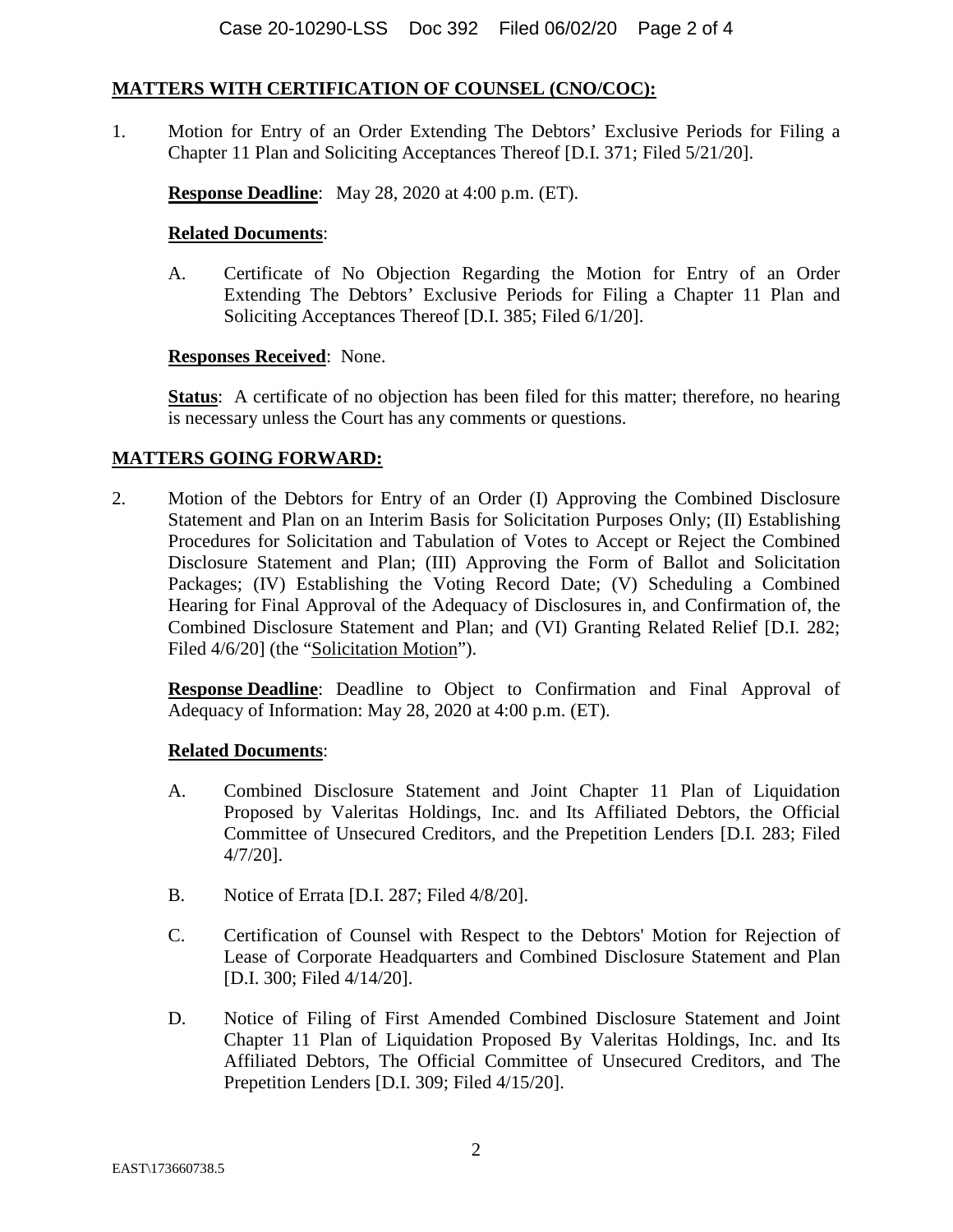#### **MATTERS WITH CERTIFICATION OF COUNSEL (CNO/COC):**

1. Motion for Entry of an Order Extending The Debtors' Exclusive Periods for Filing a Chapter 11 Plan and Soliciting Acceptances Thereof [D.I. 371; Filed 5/21/20].

**Response Deadline**: May 28, 2020 at 4:00 p.m. (ET).

#### **Related Documents**:

A. Certificate of No Objection Regarding the Motion for Entry of an Order Extending The Debtors' Exclusive Periods for Filing a Chapter 11 Plan and Soliciting Acceptances Thereof [D.I. 385; Filed 6/1/20].

#### **Responses Received**: None.

**Status**: A certificate of no objection has been filed for this matter; therefore, no hearing is necessary unless the Court has any comments or questions.

#### **MATTERS GOING FORWARD:**

2. Motion of the Debtors for Entry of an Order (I) Approving the Combined Disclosure Statement and Plan on an Interim Basis for Solicitation Purposes Only; (II) Establishing Procedures for Solicitation and Tabulation of Votes to Accept or Reject the Combined Disclosure Statement and Plan; (III) Approving the Form of Ballot and Solicitation Packages; (IV) Establishing the Voting Record Date; (V) Scheduling a Combined Hearing for Final Approval of the Adequacy of Disclosures in, and Confirmation of, the Combined Disclosure Statement and Plan; and (VI) Granting Related Relief [D.I. 282; Filed  $4/6/20$ ] (the "Solicitation Motion").

**Response Deadline**: Deadline to Object to Confirmation and Final Approval of Adequacy of Information: May 28, 2020 at 4:00 p.m. (ET).

#### **Related Documents**:

- A. Combined Disclosure Statement and Joint Chapter 11 Plan of Liquidation Proposed by Valeritas Holdings, Inc. and Its Affiliated Debtors, the Official Committee of Unsecured Creditors, and the Prepetition Lenders [D.I. 283; Filed 4/7/20].
- B. Notice of Errata [D.I. 287; Filed 4/8/20].
- C. Certification of Counsel with Respect to the Debtors' Motion for Rejection of Lease of Corporate Headquarters and Combined Disclosure Statement and Plan [D.I. 300; Filed 4/14/20].
- D. Notice of Filing of First Amended Combined Disclosure Statement and Joint Chapter 11 Plan of Liquidation Proposed By Valeritas Holdings, Inc. and Its Affiliated Debtors, The Official Committee of Unsecured Creditors, and The Prepetition Lenders [D.I. 309; Filed 4/15/20].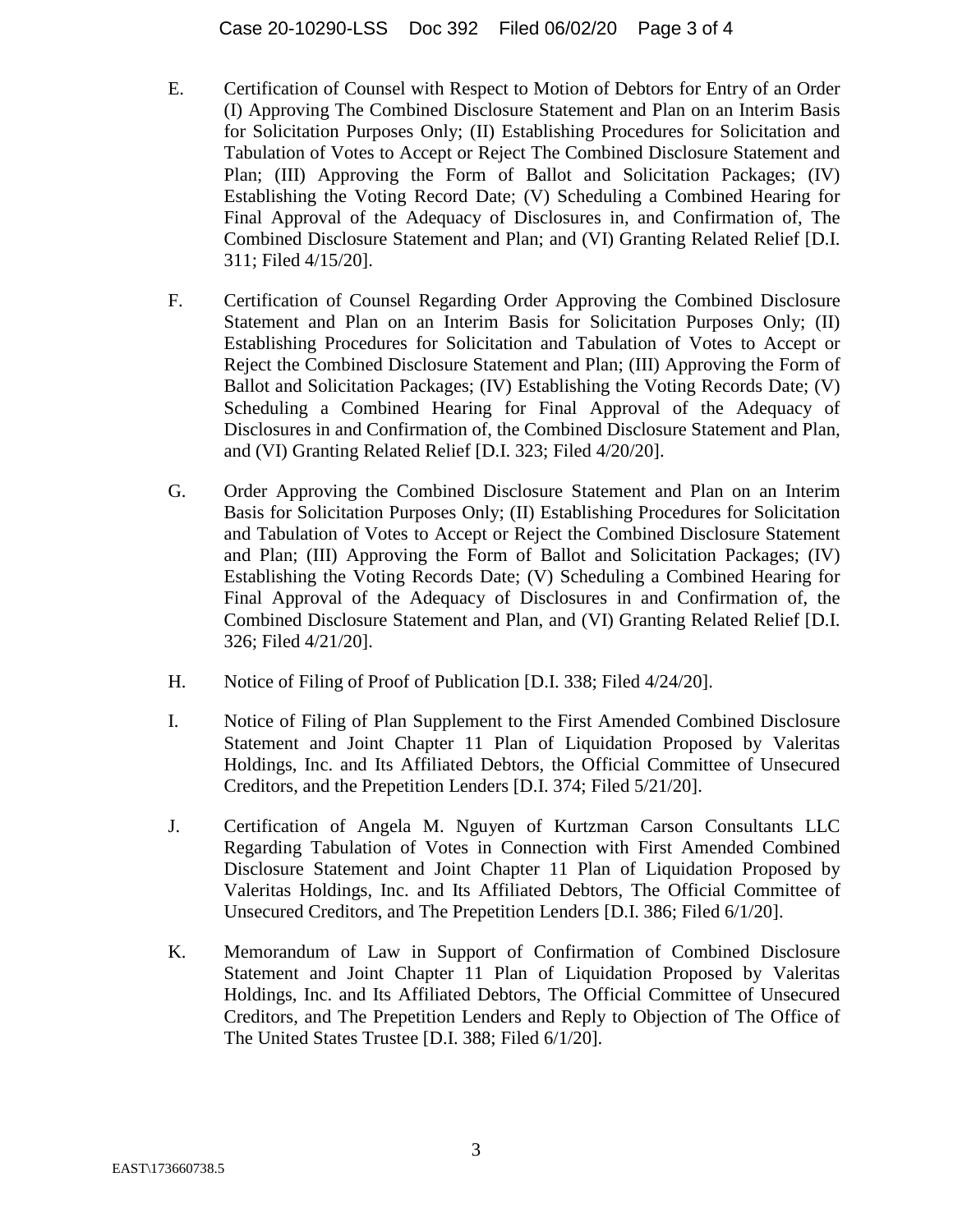- E. Certification of Counsel with Respect to Motion of Debtors for Entry of an Order (I) Approving The Combined Disclosure Statement and Plan on an Interim Basis for Solicitation Purposes Only; (II) Establishing Procedures for Solicitation and Tabulation of Votes to Accept or Reject The Combined Disclosure Statement and Plan; (III) Approving the Form of Ballot and Solicitation Packages; (IV) Establishing the Voting Record Date; (V) Scheduling a Combined Hearing for Final Approval of the Adequacy of Disclosures in, and Confirmation of, The Combined Disclosure Statement and Plan; and (VI) Granting Related Relief [D.I. 311; Filed 4/15/20].
- F. Certification of Counsel Regarding Order Approving the Combined Disclosure Statement and Plan on an Interim Basis for Solicitation Purposes Only; (II) Establishing Procedures for Solicitation and Tabulation of Votes to Accept or Reject the Combined Disclosure Statement and Plan; (III) Approving the Form of Ballot and Solicitation Packages; (IV) Establishing the Voting Records Date; (V) Scheduling a Combined Hearing for Final Approval of the Adequacy of Disclosures in and Confirmation of, the Combined Disclosure Statement and Plan, and (VI) Granting Related Relief [D.I. 323; Filed 4/20/20].
- G. Order Approving the Combined Disclosure Statement and Plan on an Interim Basis for Solicitation Purposes Only; (II) Establishing Procedures for Solicitation and Tabulation of Votes to Accept or Reject the Combined Disclosure Statement and Plan; (III) Approving the Form of Ballot and Solicitation Packages; (IV) Establishing the Voting Records Date; (V) Scheduling a Combined Hearing for Final Approval of the Adequacy of Disclosures in and Confirmation of, the Combined Disclosure Statement and Plan, and (VI) Granting Related Relief [D.I. 326; Filed 4/21/20].
- H. Notice of Filing of Proof of Publication [D.I. 338; Filed 4/24/20].
- I. Notice of Filing of Plan Supplement to the First Amended Combined Disclosure Statement and Joint Chapter 11 Plan of Liquidation Proposed by Valeritas Holdings, Inc. and Its Affiliated Debtors, the Official Committee of Unsecured Creditors, and the Prepetition Lenders [D.I. 374; Filed 5/21/20].
- J. Certification of Angela M. Nguyen of Kurtzman Carson Consultants LLC Regarding Tabulation of Votes in Connection with First Amended Combined Disclosure Statement and Joint Chapter 11 Plan of Liquidation Proposed by Valeritas Holdings, Inc. and Its Affiliated Debtors, The Official Committee of Unsecured Creditors, and The Prepetition Lenders [D.I. 386; Filed 6/1/20].
- K. Memorandum of Law in Support of Confirmation of Combined Disclosure Statement and Joint Chapter 11 Plan of Liquidation Proposed by Valeritas Holdings, Inc. and Its Affiliated Debtors, The Official Committee of Unsecured Creditors, and The Prepetition Lenders and Reply to Objection of The Office of The United States Trustee [D.I. 388; Filed 6/1/20].